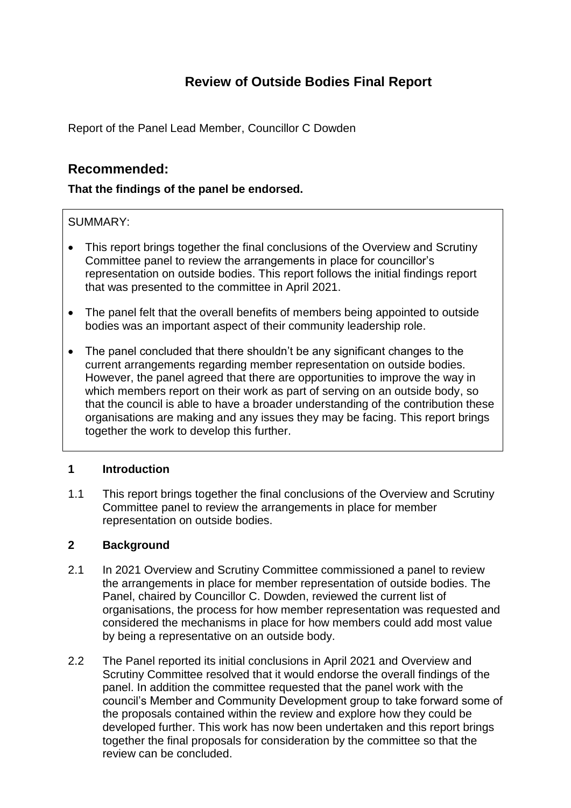# **Review of Outside Bodies Final Report**

Report of the Panel Lead Member, Councillor C Dowden

# **Recommended:**

# **That the findings of the panel be endorsed.**

# SUMMARY:

- This report brings together the final conclusions of the Overview and Scrutiny Committee panel to review the arrangements in place for councillor's representation on outside bodies. This report follows the initial findings report that was presented to the committee in April 2021.
- The panel felt that the overall benefits of members being appointed to outside bodies was an important aspect of their community leadership role.
- The panel concluded that there shouldn't be any significant changes to the current arrangements regarding member representation on outside bodies. However, the panel agreed that there are opportunities to improve the way in which members report on their work as part of serving on an outside body, so that the council is able to have a broader understanding of the contribution these organisations are making and any issues they may be facing. This report brings together the work to develop this further.

## **1 Introduction**

1.1 This report brings together the final conclusions of the Overview and Scrutiny Committee panel to review the arrangements in place for member representation on outside bodies.

## **2 Background**

- 2.1 In 2021 Overview and Scrutiny Committee commissioned a panel to review the arrangements in place for member representation of outside bodies. The Panel, chaired by Councillor C. Dowden, reviewed the current list of organisations, the process for how member representation was requested and considered the mechanisms in place for how members could add most value by being a representative on an outside body.
- 2.2 The Panel reported its initial conclusions in April 2021 and Overview and Scrutiny Committee resolved that it would endorse the overall findings of the panel. In addition the committee requested that the panel work with the council's Member and Community Development group to take forward some of the proposals contained within the review and explore how they could be developed further. This work has now been undertaken and this report brings together the final proposals for consideration by the committee so that the review can be concluded.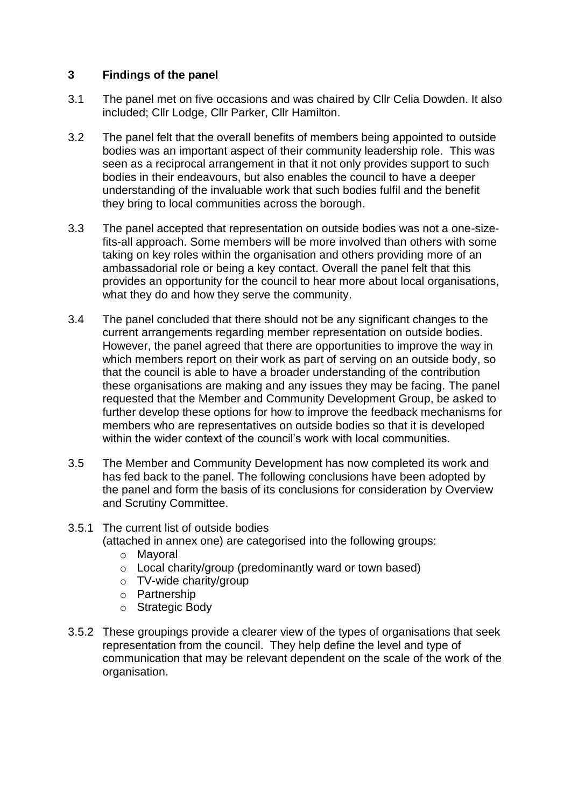## **3 Findings of the panel**

- 3.1 The panel met on five occasions and was chaired by Cllr Celia Dowden. It also included; Cllr Lodge, Cllr Parker, Cllr Hamilton.
- 3.2 The panel felt that the overall benefits of members being appointed to outside bodies was an important aspect of their community leadership role. This was seen as a reciprocal arrangement in that it not only provides support to such bodies in their endeavours, but also enables the council to have a deeper understanding of the invaluable work that such bodies fulfil and the benefit they bring to local communities across the borough.
- 3.3 The panel accepted that representation on outside bodies was not a one-sizefits-all approach. Some members will be more involved than others with some taking on key roles within the organisation and others providing more of an ambassadorial role or being a key contact. Overall the panel felt that this provides an opportunity for the council to hear more about local organisations, what they do and how they serve the community.
- 3.4 The panel concluded that there should not be any significant changes to the current arrangements regarding member representation on outside bodies. However, the panel agreed that there are opportunities to improve the way in which members report on their work as part of serving on an outside body, so that the council is able to have a broader understanding of the contribution these organisations are making and any issues they may be facing. The panel requested that the Member and Community Development Group, be asked to further develop these options for how to improve the feedback mechanisms for members who are representatives on outside bodies so that it is developed within the wider context of the council's work with local communities.
- 3.5 The Member and Community Development has now completed its work and has fed back to the panel. The following conclusions have been adopted by the panel and form the basis of its conclusions for consideration by Overview and Scrutiny Committee.

# 3.5.1 The current list of outside bodies

(attached in annex one) are categorised into the following groups:

- o Mayoral
- o Local charity/group (predominantly ward or town based)
- o TV-wide charity/group
- o Partnership
- o Strategic Body
- 3.5.2 These groupings provide a clearer view of the types of organisations that seek representation from the council. They help define the level and type of communication that may be relevant dependent on the scale of the work of the organisation.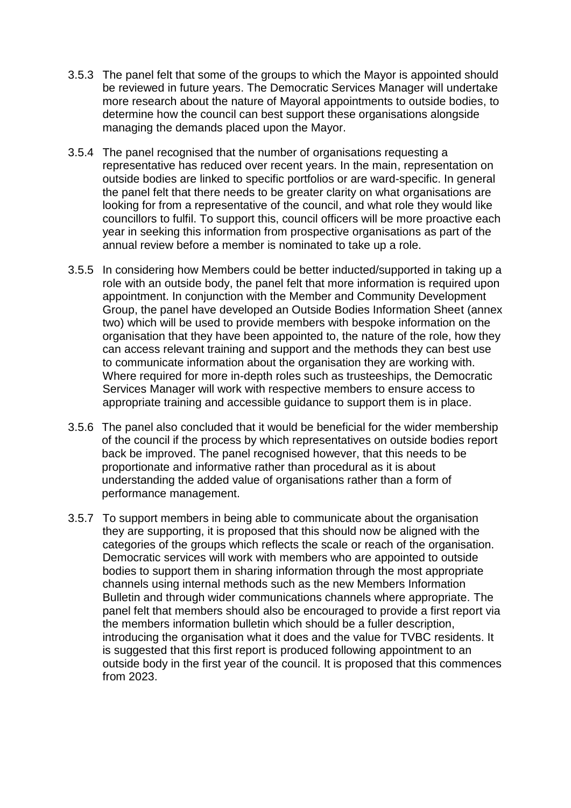- 3.5.3 The panel felt that some of the groups to which the Mayor is appointed should be reviewed in future years. The Democratic Services Manager will undertake more research about the nature of Mayoral appointments to outside bodies, to determine how the council can best support these organisations alongside managing the demands placed upon the Mayor.
- 3.5.4 The panel recognised that the number of organisations requesting a representative has reduced over recent years. In the main, representation on outside bodies are linked to specific portfolios or are ward-specific. In general the panel felt that there needs to be greater clarity on what organisations are looking for from a representative of the council, and what role they would like councillors to fulfil. To support this, council officers will be more proactive each year in seeking this information from prospective organisations as part of the annual review before a member is nominated to take up a role.
- 3.5.5 In considering how Members could be better inducted/supported in taking up a role with an outside body, the panel felt that more information is required upon appointment. In conjunction with the Member and Community Development Group, the panel have developed an Outside Bodies Information Sheet (annex two) which will be used to provide members with bespoke information on the organisation that they have been appointed to, the nature of the role, how they can access relevant training and support and the methods they can best use to communicate information about the organisation they are working with. Where required for more in-depth roles such as trusteeships, the Democratic Services Manager will work with respective members to ensure access to appropriate training and accessible guidance to support them is in place.
- 3.5.6 The panel also concluded that it would be beneficial for the wider membership of the council if the process by which representatives on outside bodies report back be improved. The panel recognised however, that this needs to be proportionate and informative rather than procedural as it is about understanding the added value of organisations rather than a form of performance management.
- 3.5.7 To support members in being able to communicate about the organisation they are supporting, it is proposed that this should now be aligned with the categories of the groups which reflects the scale or reach of the organisation. Democratic services will work with members who are appointed to outside bodies to support them in sharing information through the most appropriate channels using internal methods such as the new Members Information Bulletin and through wider communications channels where appropriate. The panel felt that members should also be encouraged to provide a first report via the members information bulletin which should be a fuller description, introducing the organisation what it does and the value for TVBC residents. It is suggested that this first report is produced following appointment to an outside body in the first year of the council. It is proposed that this commences from 2023.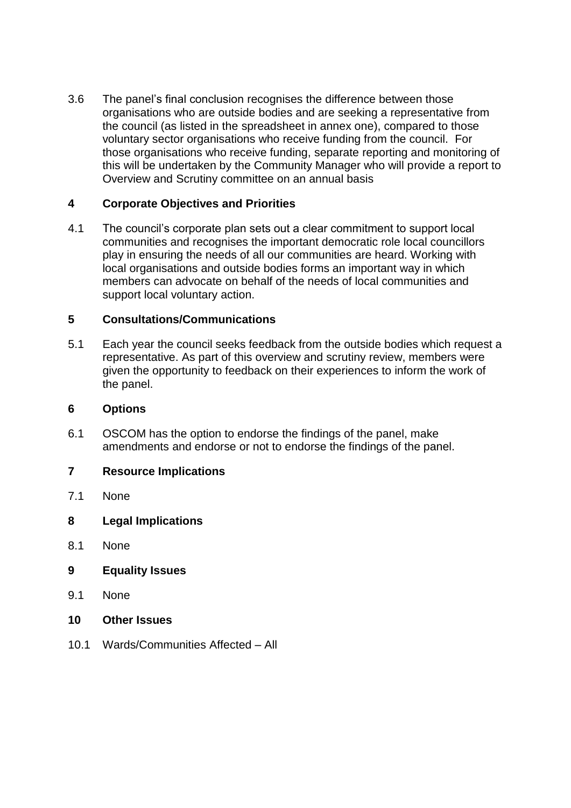3.6 The panel's final conclusion recognises the difference between those organisations who are outside bodies and are seeking a representative from the council (as listed in the spreadsheet in annex one), compared to those voluntary sector organisations who receive funding from the council. For those organisations who receive funding, separate reporting and monitoring of this will be undertaken by the Community Manager who will provide a report to Overview and Scrutiny committee on an annual basis

### **4 Corporate Objectives and Priorities**

4.1 The council's corporate plan sets out a clear commitment to support local communities and recognises the important democratic role local councillors play in ensuring the needs of all our communities are heard. Working with local organisations and outside bodies forms an important way in which members can advocate on behalf of the needs of local communities and support local voluntary action.

### **5 Consultations/Communications**

5.1 Each year the council seeks feedback from the outside bodies which request a representative. As part of this overview and scrutiny review, members were given the opportunity to feedback on their experiences to inform the work of the panel.

### **6 Options**

6.1 OSCOM has the option to endorse the findings of the panel, make amendments and endorse or not to endorse the findings of the panel.

### **7 Resource Implications**

- 7.1 None
- **8 Legal Implications**
- 8.1 None
- **9 Equality Issues**
- 9.1 None
- **10 Other Issues**
- 10.1 Wards/Communities Affected All